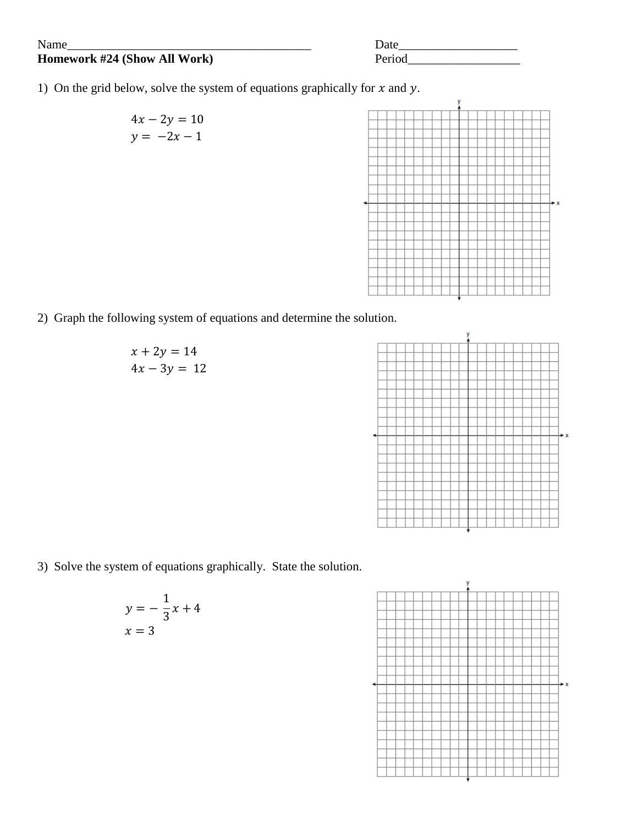## **Homework #24 (Show All Work)**

| Name                         | Date   |
|------------------------------|--------|
| Homework #24 (Show All Work) | Period |

- 1) On the grid below, solve the system of equations graphically for  $x$  and  $y$ .
	- $4x 2y = 10$  $y = -2x - 1$

2) Graph the following system of equations and determine the solution.





3) Solve the system of equations graphically. State the solution.

$$
y = -\frac{1}{3}x + 4
$$

$$
x = 3
$$